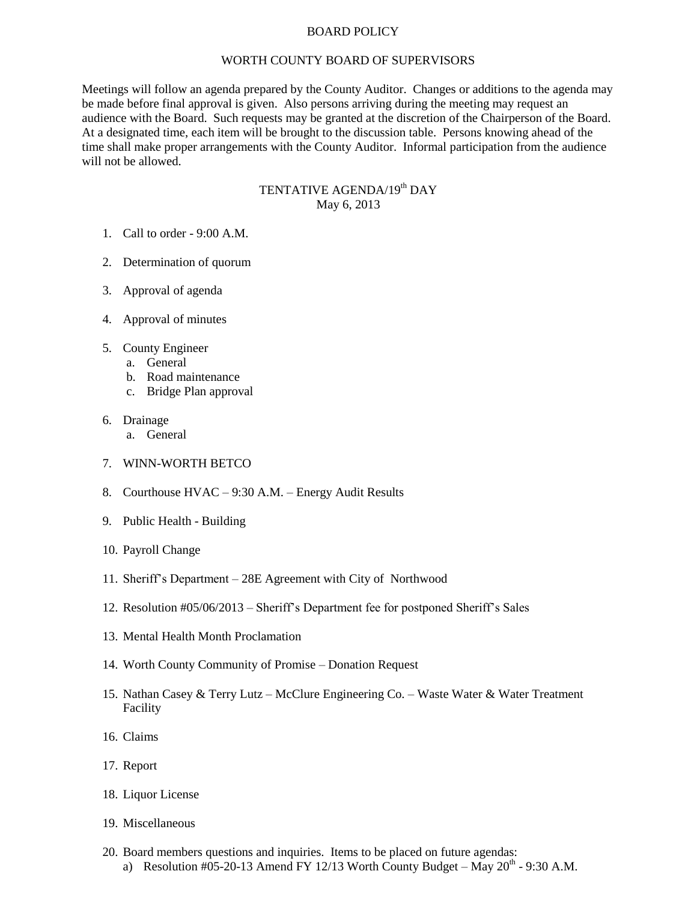## BOARD POLICY

## WORTH COUNTY BOARD OF SUPERVISORS

Meetings will follow an agenda prepared by the County Auditor. Changes or additions to the agenda may be made before final approval is given. Also persons arriving during the meeting may request an audience with the Board. Such requests may be granted at the discretion of the Chairperson of the Board. At a designated time, each item will be brought to the discussion table. Persons knowing ahead of the time shall make proper arrangements with the County Auditor. Informal participation from the audience will not be allowed.

## TENTATIVE AGENDA/19<sup>th</sup> DAY May 6, 2013

- 1. Call to order 9:00 A.M.
- 2. Determination of quorum
- 3. Approval of agenda
- 4. Approval of minutes
- 5. County Engineer
	- a. General
	- b. Road maintenance
	- c. Bridge Plan approval
- 6. Drainage
	- a. General
- 7. WINN-WORTH BETCO
- 8. Courthouse HVAC 9:30 A.M. Energy Audit Results
- 9. Public Health Building
- 10. Payroll Change
- 11. Sheriff's Department 28E Agreement with City of Northwood
- 12. Resolution #05/06/2013 Sheriff's Department fee for postponed Sheriff's Sales
- 13. Mental Health Month Proclamation
- 14. Worth County Community of Promise Donation Request
- 15. Nathan Casey & Terry Lutz McClure Engineering Co. Waste Water & Water Treatment Facility
- 16. Claims
- 17. Report
- 18. Liquor License
- 19. Miscellaneous
- 20. Board members questions and inquiries. Items to be placed on future agendas: a) Resolution #05-20-13 Amend FY 12/13 Worth County Budget – May  $20^{th}$  - 9:30 A.M.